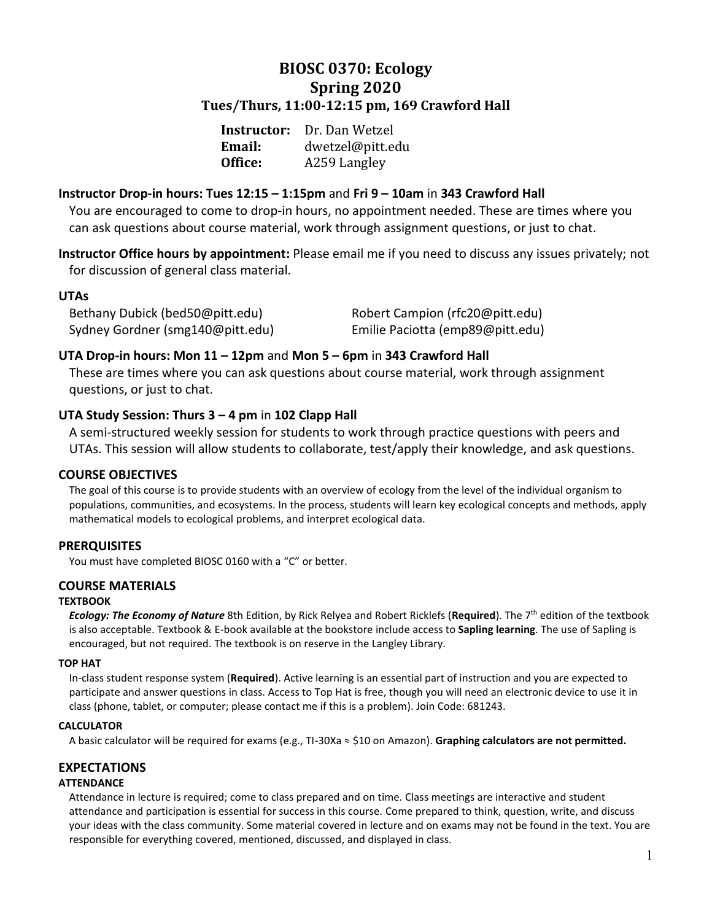## **BIOSC 0370: Ecology Spring 2020 Tues/Thurs, 11:00-12:15 pm, 169 Crawford Hall**

| Instructor:   | Dr. Dan Wetzel   |
|---------------|------------------|
| <b>Email:</b> | dwetzel@pitt.edu |
| Office:       | A259 Langley     |

## **Instructor Drop-in hours: Tues 12:15 – 1:15pm** and **Fri 9 – 10am** in **343 Crawford Hall**

You are encouraged to come to drop-in hours, no appointment needed. These are times where you can ask questions about course material, work through assignment questions, or just to chat.

**Instructor Office hours by appointment:** Please email me if you need to discuss any issues privately; not for discussion of general class material.

## **UTAs**

Bethany Dubick (bed50@pitt.edu) Robert Campion (rfc20@pitt.edu) Sydney Gordner (smg140@pitt.edu) Emilie Paciotta (emp89@pitt.edu)

## **UTA Drop-in hours: Mon 11 – 12pm** and **Mon 5 – 6pm** in **343 Crawford Hall**

These are times where you can ask questions about course material, work through assignment questions, or just to chat.

## **UTA Study Session: Thurs 3 – 4 pm** in **102 Clapp Hall**

A semi-structured weekly session for students to work through practice questions with peers and UTAs. This session will allow students to collaborate, test/apply their knowledge, and ask questions.

## **COURSE OBJECTIVES**

The goal of this course is to provide students with an overview of ecology from the level of the individual organism to populations, communities, and ecosystems. In the process, students will learn key ecological concepts and methods, apply mathematical models to ecological problems, and interpret ecological data.

## **PRERQUISITES**

You must have completed BIOSC 0160 with a "C" or better.

## **COURSE MATERIALS**

## **TEXTBOOK**

*Ecology: The Economy of Nature* 8th Edition, by Rick Relyea and Robert Ricklefs (**Required**). The 7th edition of the textbook is also acceptable. Textbook & E-book available at the bookstore include access to **Sapling learning**. The use of Sapling is encouraged, but not required. The textbook is on reserve in the Langley Library.

#### **TOP HAT**

In-class student response system (**Required**). Active learning is an essential part of instruction and you are expected to participate and answer questions in class. Access to Top Hat is free, though you will need an electronic device to use it in class (phone, tablet, or computer; please contact me if this is a problem). Join Code: 681243.

#### **CALCULATOR**

A basic calculator will be required for exams (e.g., TI-30Xa ≈ \$10 on Amazon). **Graphing calculators are not permitted.**

## **EXPECTATIONS**

## **ATTENDANCE**

Attendance in lecture is required; come to class prepared and on time. Class meetings are interactive and student attendance and participation is essential for success in this course. Come prepared to think, question, write, and discuss your ideas with the class community. Some material covered in lecture and on exams may not be found in the text. You are responsible for everything covered, mentioned, discussed, and displayed in class.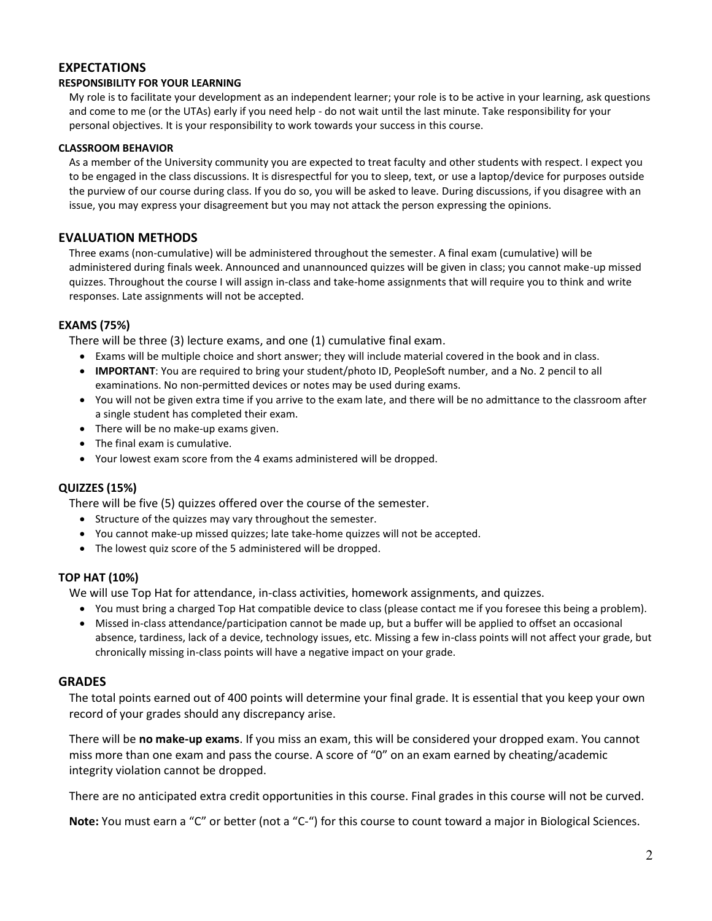## **EXPECTATIONS**

#### **RESPONSIBILITY FOR YOUR LEARNING**

My role is to facilitate your development as an independent learner; your role is to be active in your learning, ask questions and come to me (or the UTAs) early if you need help - do not wait until the last minute. Take responsibility for your personal objectives. It is your responsibility to work towards your success in this course.

#### **CLASSROOM BEHAVIOR**

As a member of the University community you are expected to treat faculty and other students with respect. I expect you to be engaged in the class discussions. It is disrespectful for you to sleep, text, or use a laptop/device for purposes outside the purview of our course during class. If you do so, you will be asked to leave. During discussions, if you disagree with an issue, you may express your disagreement but you may not attack the person expressing the opinions.

## **EVALUATION METHODS**

Three exams (non-cumulative) will be administered throughout the semester. A final exam (cumulative) will be administered during finals week. Announced and unannounced quizzes will be given in class; you cannot make-up missed quizzes. Throughout the course I will assign in-class and take-home assignments that will require you to think and write responses. Late assignments will not be accepted.

#### **EXAMS (75%)**

There will be three (3) lecture exams, and one (1) cumulative final exam.

- Exams will be multiple choice and short answer; they will include material covered in the book and in class.
- **IMPORTANT**: You are required to bring your student/photo ID, PeopleSoft number, and a No. 2 pencil to all examinations. No non-permitted devices or notes may be used during exams.
- You will not be given extra time if you arrive to the exam late, and there will be no admittance to the classroom after a single student has completed their exam.
- There will be no make-up exams given.
- The final exam is cumulative.
- Your lowest exam score from the 4 exams administered will be dropped.

## **QUIZZES (15%)**

There will be five (5) quizzes offered over the course of the semester.

- Structure of the quizzes may vary throughout the semester.
- You cannot make-up missed quizzes; late take-home quizzes will not be accepted.
- The lowest quiz score of the 5 administered will be dropped.

## **TOP HAT (10%)**

We will use Top Hat for attendance, in-class activities, homework assignments, and quizzes.

- You must bring a charged Top Hat compatible device to class (please contact me if you foresee this being a problem).
- Missed in-class attendance/participation cannot be made up, but a buffer will be applied to offset an occasional absence, tardiness, lack of a device, technology issues, etc. Missing a few in-class points will not affect your grade, but chronically missing in-class points will have a negative impact on your grade.

## **GRADES**

The total points earned out of 400 points will determine your final grade. It is essential that you keep your own record of your grades should any discrepancy arise.

There will be **no make-up exams**. If you miss an exam, this will be considered your dropped exam. You cannot miss more than one exam and pass the course. A score of "0" on an exam earned by cheating/academic integrity violation cannot be dropped.

There are no anticipated extra credit opportunities in this course. Final grades in this course will not be curved.

**Note:** You must earn a "C" or better (not a "C-") for this course to count toward a major in Biological Sciences.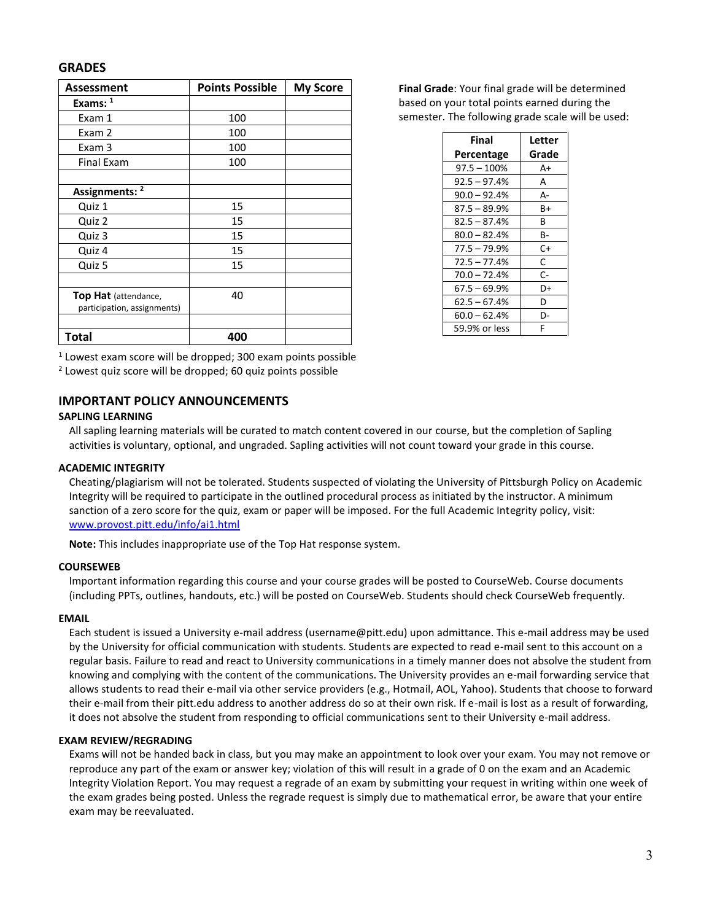#### **GRADES**

| <b>Assessment</b>           | <b>Points Possible</b> | <b>My Score</b> |
|-----------------------------|------------------------|-----------------|
| Exams: 1                    |                        |                 |
| Exam 1                      | 100                    |                 |
| Exam 2                      | 100                    |                 |
| Exam 3                      | 100                    |                 |
| <b>Final Exam</b>           | 100                    |                 |
|                             |                        |                 |
| Assignments: <sup>2</sup>   |                        |                 |
| Quiz 1                      | 15                     |                 |
| Quiz 2                      | 15                     |                 |
| Quiz 3                      | 15                     |                 |
| Quiz 4                      | 15                     |                 |
| Quiz 5                      | 15                     |                 |
|                             |                        |                 |
| <b>Top Hat</b> (attendance, | 40                     |                 |
| participation, assignments) |                        |                 |
|                             |                        |                 |
| <b>Total</b>                | 400                    |                 |

**Final Grade**: Your final grade will be determined based on your total points earned during the semester. The following grade scale will be used:

| Final          | Letter |
|----------------|--------|
| Percentage     | Grade  |
| $97.5 - 100\%$ | A+     |
| $92.5 - 97.4%$ | А      |
| $90.0 - 92.4%$ | А-     |
| $87.5 - 89.9%$ | B+     |
| $82.5 - 87.4%$ | B      |
| $80.0 - 82.4%$ | в-     |
| $77.5 - 79.9%$ | C+     |
| $72.5 - 77.4%$ | C      |
| $70.0 - 72.4%$ | C-     |
| 67.5 – 69.9%   | D+     |
| $62.5 - 67.4%$ | D      |
| $60.0 - 62.4%$ | D-     |
| 59.9% or less  | F      |

 $1$  Lowest exam score will be dropped; 300 exam points possible

<sup>2</sup> Lowest quiz score will be dropped; 60 quiz points possible

#### **IMPORTANT POLICY ANNOUNCEMENTS**

#### **SAPLING LEARNING**

All sapling learning materials will be curated to match content covered in our course, but the completion of Sapling activities is voluntary, optional, and ungraded. Sapling activities will not count toward your grade in this course.

#### **ACADEMIC INTEGRITY**

Cheating/plagiarism will not be tolerated. Students suspected of violating the University of Pittsburgh Policy on Academic Integrity will be required to participate in the outlined procedural process as initiated by the instructor. A minimum sanction of a zero score for the quiz, exam or paper will be imposed. For the full Academic Integrity policy, visit: [www.provost.pitt.edu/info/ai1.html](http://www.provost.pitt.edu/info/ai1.html)

**Note:** This includes inappropriate use of the Top Hat response system.

#### **COURSEWEB**

Important information regarding this course and your course grades will be posted to CourseWeb. Course documents (including PPTs, outlines, handouts, etc.) will be posted on CourseWeb. Students should check CourseWeb frequently.

#### **EMAIL**

Each student is issued a University e-mail address (username@pitt.edu) upon admittance. This e-mail address may be used by the University for official communication with students. Students are expected to read e-mail sent to this account on a regular basis. Failure to read and react to University communications in a timely manner does not absolve the student from knowing and complying with the content of the communications. The University provides an e-mail forwarding service that allows students to read their e-mail via other service providers (e.g., Hotmail, AOL, Yahoo). Students that choose to forward their e-mail from their pitt.edu address to another address do so at their own risk. If e-mail is lost as a result of forwarding, it does not absolve the student from responding to official communications sent to their University e-mail address.

#### **EXAM REVIEW/REGRADING**

Exams will not be handed back in class, but you may make an appointment to look over your exam. You may not remove or reproduce any part of the exam or answer key; violation of this will result in a grade of 0 on the exam and an Academic Integrity Violation Report. You may request a regrade of an exam by submitting your request in writing within one week of the exam grades being posted. Unless the regrade request is simply due to mathematical error, be aware that your entire exam may be reevaluated.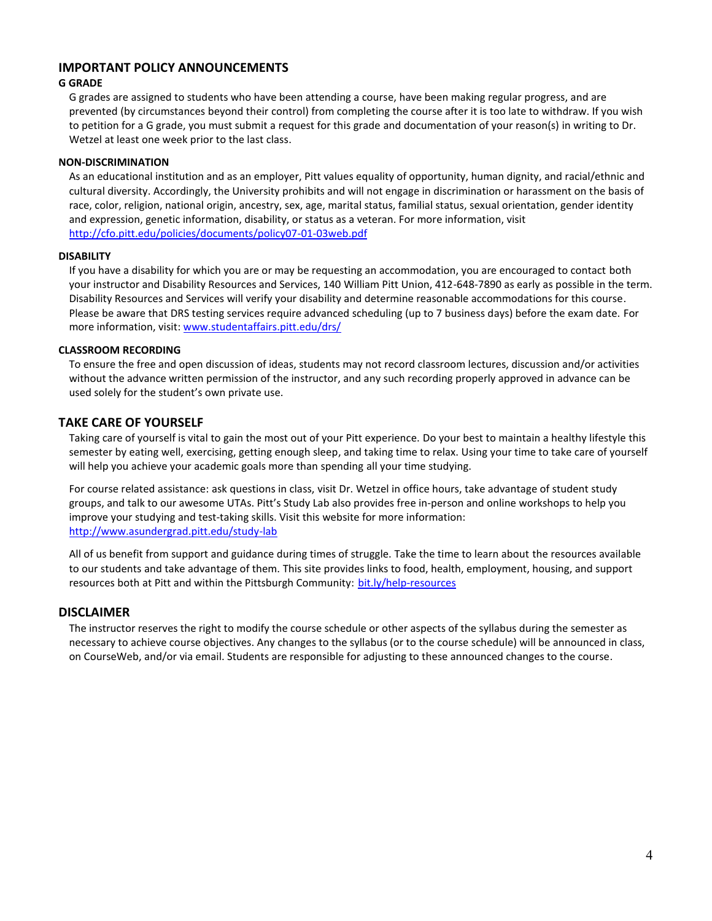## **IMPORTANT POLICY ANNOUNCEMENTS**

#### **G GRADE**

G grades are assigned to students who have been attending a course, have been making regular progress, and are prevented (by circumstances beyond their control) from completing the course after it is too late to withdraw. If you wish to petition for a G grade, you must submit a request for this grade and documentation of your reason(s) in writing to Dr. Wetzel at least one week prior to the last class.

#### **NON-DISCRIMINATION**

As an educational institution and as an employer, Pitt values equality of opportunity, human dignity, and racial/ethnic and cultural diversity. Accordingly, the University prohibits and will not engage in discrimination or harassment on the basis of race, color, religion, national origin, ancestry, sex, age, marital status, familial status, sexual orientation, gender identity and expression, genetic information, disability, or status as a veteran. For more information, visit <http://cfo.pitt.edu/policies/documents/policy07-01-03web.pdf>

#### **DISABILITY**

If you have a disability for which you are or may be requesting an accommodation, you are encouraged to contact both your instructor and Disability Resources and Services, 140 William Pitt Union, 412-648-7890 as early as possible in the term. Disability Resources and Services will verify your disability and determine reasonable accommodations for this course. Please be aware that DRS testing services require advanced scheduling (up to 7 business days) before the exam date. For more information, visit: [www.studentaffairs.pitt.edu/drs/](http://www.studentaffairs.pitt.edu/drs/)

#### **CLASSROOM RECORDING**

To ensure the free and open discussion of ideas, students may not record classroom lectures, discussion and/or activities without the advance written permission of the instructor, and any such recording properly approved in advance can be used solely for the student's own private use.

#### **TAKE CARE OF YOURSELF**

Taking care of yourself is vital to gain the most out of your Pitt experience. Do your best to maintain a healthy lifestyle this semester by eating well, exercising, getting enough sleep, and taking time to relax. Using your time to take care of yourself will help you achieve your academic goals more than spending all your time studying.

For course related assistance: ask questions in class, visit Dr. Wetzel in office hours, take advantage of student study groups, and talk to our awesome UTAs. Pitt's Study Lab also provides free in-person and online workshops to help you improve your studying and test-taking skills. Visit this website for more information: <http://www.asundergrad.pitt.edu/study-lab>

All of us benefit from support and guidance during times of struggle. Take the time to learn about the resources available to our students and take advantage of them. This site provides links to food, health, employment, housing, and support resources both at Pitt and within the Pittsburgh Community: [bit.ly/help-resources](http://www.bit.ly/help-resources)

#### **DISCLAIMER**

The instructor reserves the right to modify the course schedule or other aspects of the syllabus during the semester as necessary to achieve course objectives. Any changes to the syllabus (or to the course schedule) will be announced in class, on CourseWeb, and/or via email. Students are responsible for adjusting to these announced changes to the course.